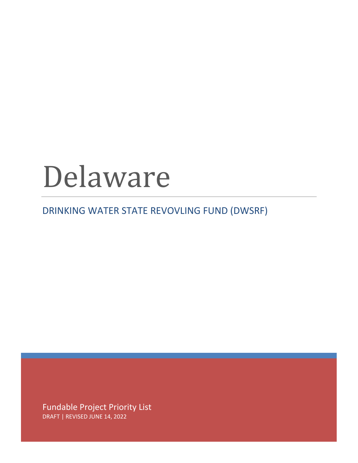## Delaware

DRINKING WATER STATE REVOVLING FUND (DWSRF)

Fundable Project Priority List DRAFT | REVISED JUNE 14, 2022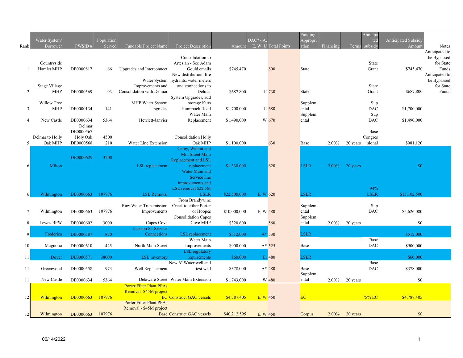|                | Water System/                      |                        | Population |                                               |                                                           |              | $DAC? - A$  |                      | Funding<br>Appropri |           | Anticipa           | Anticipated Subsidy<br>tec  |                                |
|----------------|------------------------------------|------------------------|------------|-----------------------------------------------|-----------------------------------------------------------|--------------|-------------|----------------------|---------------------|-----------|--------------------|-----------------------------|--------------------------------|
| Rank           | Borrower                           | $\operatorname{PWSID}$ | Served     | Fundable Project Name                         | Project Description                                       | Amount       |             | E, W, U Total Points | ation               | Financing | subsidy<br>Terms   | Amount                      | <b>Notes</b><br>Anticipated to |
|                |                                    |                        |            |                                               | Consolidation to                                          |              |             |                      |                     |           |                    |                             | be Bypassed                    |
|                | Countryside                        |                        |            |                                               | Artesian - See Adam                                       |              |             |                      |                     |           |                    | State                       | for State                      |
|                | Hamlet MHP                         | DE0000817              | 66         | Upgrades and Interconnect                     | Gould emails                                              | \$745,470    |             | 800                  | State               |           |                    | Grant<br>\$745,470          | Funds                          |
|                |                                    |                        |            |                                               | New distribution, fire                                    |              |             |                      |                     |           |                    |                             | Anticipated to                 |
|                |                                    |                        |            |                                               | Water System hydrants, water meters<br>and connections to |              |             |                      |                     |           |                    | State                       | be Bypassed<br>for State       |
| 2              | <b>Stage Village</b><br><b>MHP</b> | DE0000569              | 93         | Improvements and<br>Consolidation with Delmar | Delmar                                                    | \$687,800    |             | U 730                | State               |           |                    | \$687,800<br>Grant          | Funds                          |
|                |                                    |                        |            |                                               | System Upgrades, add                                      |              |             |                      |                     |           |                    |                             |                                |
|                | Willow Tree                        |                        |            | MHP Water System                              | storage Kitts                                             |              |             |                      | Supplem             |           |                    | Sup                         |                                |
| 3              | <b>MHP</b>                         | DE0000134              | 141        | Upgrades                                      | Hummock Road                                              | \$1,700,000  |             | <b>U</b> 680         | ental               |           |                    | <b>DAC</b><br>\$1,700,000   |                                |
|                |                                    |                        |            |                                               | Water Main                                                |              |             |                      | Supplem             |           |                    | Sup                         |                                |
| $\overline{4}$ | New Castle                         | DE0000634<br>Delmar    | 5364       | Hewlett-Janvier                               | Replacement                                               | \$1,490,000  |             | W 670                | ental               |           |                    | DAC<br>\$1,490,000          |                                |
|                |                                    | DE0000567              |            |                                               |                                                           |              |             |                      |                     |           |                    | Base                        |                                |
|                | Delmar to Holly                    | Holy Oak               | 4500       |                                               | <b>Consolidation Holly</b>                                |              |             |                      |                     |           | Congres            |                             |                                |
| 5              | Oak MHP                            | DE0000568              | 210        | Water Line Extension                          | Oak MHP                                                   | \$1,100,000  |             | 630                  | Base                | 2.00%     | 20 years<br>sional | \$981,120                   |                                |
|                |                                    |                        |            |                                               | Carey, Walnut and                                         |              |             |                      |                     |           |                    |                             |                                |
|                |                                    | DE0000629              | 3200       |                                               | <b>Mill Street Main</b>                                   |              |             |                      |                     |           |                    |                             |                                |
| 6              | Milton                             |                        |            | LSL replacement                               | Replacement and LSL<br>replacement                        | \$1,330,000  |             | 620                  | <b>LSLR</b>         | 2.00%     | 20 years           | \$0                         |                                |
|                |                                    |                        |            |                                               | Water Main and                                            |              |             |                      |                     |           |                    |                             |                                |
|                |                                    |                        |            |                                               | Service line                                              |              |             |                      |                     |           |                    |                             |                                |
|                |                                    |                        |            |                                               | improvements and                                          |              |             |                      |                     |           |                    |                             |                                |
|                |                                    |                        |            |                                               | LSL removal \$22.5M                                       |              |             |                      |                     |           |                    | 94%                         |                                |
| 6              | Wilmington                         | DE0000663              | 107976     | <b>LSL Removal</b>                            | <b>LSLR</b>                                               | \$22,500,000 | $E, W$ 620  |                      | <b>LSLR</b>         |           |                    | <b>LSLR</b><br>\$13,102,500 |                                |
|                |                                    |                        |            | Raw Water Transmission                        | From Brandywine<br>Creek to either Porter                 |              |             |                      | Supplem             |           |                    | Sup                         |                                |
| $\tau$         | Wilmington                         | DE0000663              | 107976     | Improvements                                  | or Hoopes                                                 | \$10,000,000 | E, W 580    |                      | ental               |           |                    | DAC<br>\$5,626,080          |                                |
|                |                                    |                        |            |                                               | <b>Consolidation Capes</b>                                |              |             |                      | Supplem             |           |                    |                             |                                |
| 8              | Lewes BPW                          | DE0000602              | 3000       | Capes Cove                                    | Cove MHP                                                  | \$320,600    |             | 560                  | ental               | 2.00%     | 20 years           | \$0                         |                                |
|                |                                    |                        |            | Jackson St. Service                           |                                                           |              |             |                      |                     |           |                    |                             |                                |
| 9              | Frederica                          | DE0000587              | 870        | Connections                                   | <b>LSL</b> replacement<br>Water Main                      | \$512,000    |             | $A*$ 530             | <b>LSLR</b>         |           |                    | \$512,000<br>Base           |                                |
| 10             | Magnolia                           | DE0000610              | 425        | North Main Street                             | Improvements                                              | \$900,000    |             | $A* 525$             | Base                |           |                    | DAC<br>\$900,000            |                                |
|                |                                    |                        |            |                                               | <b>LSL</b> regulatory                                     |              |             |                      |                     |           |                    |                             |                                |
| 11             | Dover                              | DE0000571              | 38000      | LSL inventory                                 | requirements                                              | \$60,000     |             | E, 480               | <b>LSLR</b>         |           |                    | \$60,000                    |                                |
|                |                                    |                        |            |                                               | New 6" Water well and                                     |              |             |                      |                     |           |                    | Base                        |                                |
| 11             | Greenwood                          | DE0000558              | 973        | Well Replacement                              | test well                                                 | \$378,000    |             | $A*480$              | Base                |           |                    | DAC<br>\$378,000            |                                |
| 11             | New Castle                         | DE0000634              | 5364       |                                               | Delaware Street Water Main Extension                      | \$1,743,000  |             | W 480                | Supplem<br>ental    | 2.00%     | 20 years           | \$0                         |                                |
|                |                                    |                        |            | <b>Porter Filter Plant PFAs</b>               |                                                           |              |             |                      |                     |           |                    |                             |                                |
|                |                                    |                        |            | Removal- \$45M project                        |                                                           |              |             |                      |                     |           |                    |                             |                                |
| 12             | Wilmington                         | DE0000663              | 107976     |                                               | <b>EC Construct GAC vessels</b>                           | \$4,787,405  | $E$ , W 450 |                      | <b>EC</b>           |           | 75% EC             | \$4,787,405                 |                                |
|                |                                    |                        |            | <b>Porter Filter Plant PFAs</b>               |                                                           |              |             |                      |                     |           |                    |                             |                                |
|                |                                    |                        |            | Removal - \$45M project                       | <b>Base Construct GAC vessels</b>                         |              |             |                      |                     |           |                    | \$0                         |                                |
|                | Wilmington                         | DE0000663              | 107976     |                                               |                                                           | \$40,212,595 | E. W 450    |                      | Corpus              | $2.00\%$  | 20 years           |                             |                                |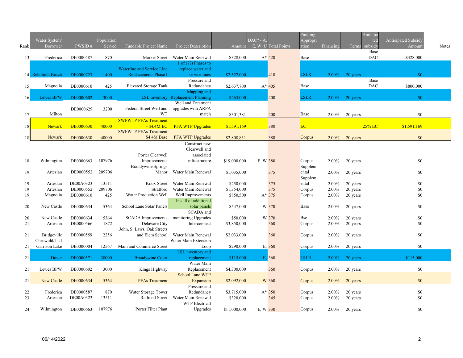| Rank     | Water System/<br>Borrower | <b>PWSID</b> | Population<br>Served | <b>Fundable Project Name</b>                  | <b>Project Description</b>               | Amount       | $DAC? - A.$<br>E, W, U Total Points |         | Funding<br>Appropri<br>ation | Financing | Terms                | Anticipa<br>ted<br>subsidy | Anticipated Subsidy<br>Amount | <b>Notes</b> |
|----------|---------------------------|--------------|----------------------|-----------------------------------------------|------------------------------------------|--------------|-------------------------------------|---------|------------------------------|-----------|----------------------|----------------------------|-------------------------------|--------------|
| 13       | Frederica                 | DE0000587    | 870                  | Market Street                                 | Water Main Renewal                       | \$328,000    |                                     | $A*420$ | Base                         |           |                      | Base<br><b>DAC</b>         | \$328,000                     |              |
|          |                           |              |                      |                                               | 1 of $(7?)$ Phases to                    |              |                                     |         |                              |           |                      |                            |                               |              |
|          |                           |              |                      | Waterline and Service Line                    | replace water and                        |              |                                     |         |                              |           |                      |                            |                               |              |
|          | 14 Rehoboth Beach         | DE0000723    | 1400                 | <b>Replacements Phase I</b>                   | service lines                            | \$2,527,000  |                                     | 410     | <b>LSLR</b>                  | $2.00\%$  | 20 years             |                            | \$0                           |              |
|          | Magnolia                  | DE0000610    | 425                  | <b>Elevated Storage Tank</b>                  | Pressure and<br>Redundancy               | \$2,637,700  |                                     | $A*405$ | Base                         |           |                      | Base<br><b>DAC</b>         | \$800,000                     |              |
| 15       |                           |              |                      |                                               | Mapping and                              |              |                                     |         |                              |           |                      |                            |                               |              |
| 16       | Lewes BPW                 | DE0000602    | 3000                 |                                               | LSL inventory Replacement Planning       | \$263,000    |                                     | 400     | <b>LSLR</b>                  | $2.00\%$  | 20 years             |                            | \$0                           |              |
|          |                           |              |                      |                                               | Well and Treatment                       |              |                                     |         |                              |           |                      |                            |                               |              |
|          |                           | DE0000629    | 3200                 | Federal Street Well and                       | upgrades with ARPA                       |              |                                     |         |                              |           |                      |                            |                               |              |
| 17       | Milton                    |              |                      | WT                                            | match                                    | \$301,381    |                                     | 400     | <b>Base</b>                  | 2.00%     | 20 years             |                            | \$0                           |              |
|          |                           |              |                      | <b>SWFWTP PFAs Treatment</b>                  |                                          |              |                                     |         |                              |           |                      |                            |                               |              |
| 18       | <b>Newark</b>             | DE0000630    | 40000                | $-$ \$4.4M EC                                 | <b>PFA WTP Upgrades</b>                  | \$1,591,169  |                                     | 380     | <b>EC</b>                    |           |                      | 25% EC                     | \$1,591,169                   |              |
|          | Newark                    | DE0000630    | 40000                | <b>SWFWTP PFAs Treatment</b><br>\$4.4M Base   | <b>PFA WTP Upgrades</b>                  | \$2,808,831  |                                     | 380     | Corpus                       | 2.00%     | 20 years             |                            | \$0                           |              |
|          |                           |              |                      |                                               | Construct new                            |              |                                     |         |                              |           |                      |                            |                               |              |
|          |                           |              |                      |                                               | Clearwell and                            |              |                                     |         |                              |           |                      |                            |                               |              |
|          |                           |              |                      | Porter Clearwell                              | associated                               |              |                                     |         |                              |           |                      |                            |                               |              |
| 18       | Wilmington                | DE0000663    | 107976               | Improvements                                  | infrastrucure                            | \$19,000,000 | E, W 380                            |         | Corpus                       | 2.00%     | 20 years             |                            | \$0                           |              |
|          |                           |              |                      | <b>Brandywine Springs</b>                     |                                          |              |                                     |         | Supplem                      |           |                      |                            |                               |              |
| 19       | Artesian                  | DE0000552    | 209706               | Manor                                         | Water Main Renewal                       | \$1,035,000  |                                     | 375     | ental                        | 2.00%     | 20 years             |                            | \$0                           |              |
|          |                           | DE00A0323    | 13511                | Knox Street                                   |                                          | \$250,000    |                                     | 375     | Supplem                      | 2.00%     |                      |                            | \$0                           |              |
| 19<br>19 | Artesian<br>Artesian      | DE0000552    | 209706               | Stratford                                     | Water Main Renewal<br>Water Main Renewal | \$1,354,000  |                                     | 375     | ental<br>Corpus              | 2.00%     | 20 years<br>20 years |                            | \$0                           |              |
| 19       | Magnolia                  | DE0000610    | 425                  | Water Production Well                         | Well Improvements                        | \$850,500    |                                     | $A*375$ | Corpus                       | 2.00%     | 20 years             |                            | \$0                           |              |
|          |                           |              |                      |                                               | Install of additional                    |              |                                     |         |                              |           |                      |                            |                               |              |
| 20       | New Castle                | DE0000634    | 5364                 | School Lane Solar Panels                      | solar panels                             | \$547,000    |                                     | W 370   | <b>Base</b>                  | 2.00%     | 20 years             |                            | \$0                           |              |
|          |                           |              |                      |                                               | SCADA and                                |              |                                     |         |                              |           |                      |                            |                               |              |
| 20       | New Castle                | DE0000634    | 5364                 | <b>SCADA</b> Improvements                     | monitoring Upgrades                      | \$50,000     |                                     | W 370   | <b>Bse</b>                   | 2.00%     | 20 years             |                            | \$0                           |              |
| 21       | Artesian                  | DE0000566    | 1872                 | Delaware City                                 | Interconnect                             | \$3,850,000  |                                     | 360     | Corpus                       | $2.00\%$  | 20 years             |                            | \$0                           |              |
| 21       | Bridgeville               | DE0000559    | 2256                 | John, S. Laws, Oak Streets<br>and Elem School | Water Main Renewal                       | \$2,033,000  |                                     | 360     |                              | 2.00%     | 20 years             |                            | \$0                           |              |
|          | Cheswold/TUI              |              |                      |                                               | Water Main Extension                     |              |                                     |         | Corpus                       |           |                      |                            |                               |              |
| 21       | Garrison Lake             | DE0000004    | 12567                | Main and Commerce Street                      | Loop                                     | \$290,000    |                                     | E, 360  | Corpus                       | $2.00\%$  | 20 years             |                            | \$0                           |              |
|          |                           |              |                      |                                               | LSL inventory and                        |              |                                     |         |                              |           |                      |                            |                               |              |
| 21       | Dover                     | DE0000571    | 38000                | <b>Brandywine Court</b>                       | replacement                              | \$115,000    |                                     | E, 360  | <b>LSLR</b>                  | 2.00%     | 20 years             |                            | \$115,000                     |              |
|          |                           |              |                      |                                               | Water Main                               |              |                                     |         |                              |           |                      |                            |                               |              |
| 21       | Lewes BPW                 | DE0000602    | 3000                 | Kings Highway                                 | Replacement                              | \$4,300,000  |                                     | 360     | Corpus                       | 2.00%     | 20 years             |                            | \$0                           |              |
|          |                           |              |                      |                                               | <b>School Lane WTP</b>                   |              |                                     |         |                              |           |                      |                            |                               |              |
| 21       | New Castle                | DE0000634    | 5364                 | <b>PFAs Treatment</b>                         | Expansion<br>Pressure and                | \$2,092,000  |                                     | W 360   | Corpus                       | 2.00%     | 20 years             |                            | \$0                           |              |
| 22       | Frederica                 | DE0000587    | 870                  | Water Storage Tower                           | Redundancy                               | \$3,715,000  |                                     | $A*350$ | Corpus                       | 2.00%     | 20 years             |                            | \$0                           |              |
| 23       | Artesian                  | DE00A0323    | 13511                | Railroad Street                               | Water Main Renewal                       | \$320,000    |                                     | 345     | Corpus                       | 2.00%     | 20 years             |                            | \$0                           |              |
|          |                           |              |                      |                                               | <b>WTP</b> Electrical                    |              |                                     |         |                              |           |                      |                            |                               |              |
| 24       | Wilmington                | DE0000663    | 107976               | Porter Filter Plant                           | Upgrades                                 | \$11,000,000 | E, W 330                            |         | Corpus                       | $2.00\%$  | 20 years             |                            | \$0                           |              |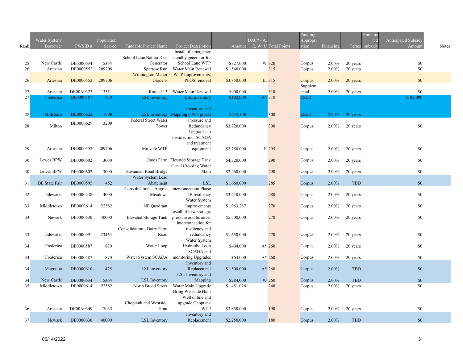| Rank | Water System/<br>Borrower | PWSID#    | Population<br>Served | Fundable Project Name      | Project Description                                | Amount      | $DAC? - A$ | E, W, U Total Points | Funding<br>Appropri<br>ation | Financing | Terms subsidy | Anticipa<br><b>Anticipated Subsidy</b><br>ted<br>Amount | <b>Notes</b> |
|------|---------------------------|-----------|----------------------|----------------------------|----------------------------------------------------|-------------|------------|----------------------|------------------------------|-----------|---------------|---------------------------------------------------------|--------------|
|      |                           |           |                      |                            | Install of emergency                               |             |            |                      |                              |           |               |                                                         |              |
|      |                           |           |                      | School Lane Natural Gas    | standby generator for                              |             |            |                      |                              |           |               |                                                         |              |
| 25   | New Castle                | DE0000634 | 5364                 | Generator                  | School Lane WTP                                    | \$327,000   |            | W 320                | Corpus                       | 2.00%     | 20 years      | \$0                                                     |              |
| 26   | Artesian                  | DE0000552 | 209706               | Sparrow Run                | Water Main Renewal                                 | \$1,540,000 |            | 315                  | Corpus                       | 2.00%     | 20 years      | \$0                                                     |              |
|      |                           |           |                      | <b>Wilmington Manor</b>    | WTP Improvements,                                  |             |            |                      |                              |           |               |                                                         |              |
| 26   | Artesian                  | DE0000552 | 209706               | Gardens                    | PFOS removal                                       | \$3,850,000 |            | E, 315               | Corpus                       | 2.00%     | 20 years      | \$0                                                     |              |
|      |                           |           |                      |                            |                                                    |             |            |                      | Supplem                      |           |               |                                                         |              |
| 27   | Artesian                  | DE00A0323 | 13511                | Route 113                  | Water Main Renewal                                 | \$900,000   |            | 310                  | ental                        | 2.00%     | 20 years      | \$0                                                     |              |
| 27   | Frederica                 | DE0000587 | 870                  | LSL inventory              | <b>LSL</b> inventory                               | \$102,000   |            | $A*310$              | <b>LSLR</b>                  |           |               | \$102,000                                               |              |
|      |                           |           |                      |                            |                                                    |             |            |                      |                              |           |               |                                                         |              |
|      |                           | DE0000622 |                      |                            | Inventory and                                      |             |            |                      | <b>LSLR</b>                  |           |               |                                                         |              |
| 28   | Millsboro                 |           | 7500                 | Federal Street Water       | LSL inventory Mapping (1964 pipes)<br>Pressure and | \$233,500   |            | 300                  |                              | 2.00%     | 20 years      |                                                         |              |
| 28   | Milton                    | DE0000629 | 3200                 | Tower                      | Redundancy                                         | \$3,720,000 |            | 300                  | Corpus                       | 2.00%     | 20 years      | \$0                                                     |              |
|      |                           |           |                      |                            | Upgrades to                                        |             |            |                      |                              |           |               |                                                         |              |
|      |                           |           |                      |                            | disinfection, SCADA                                |             |            |                      |                              |           |               |                                                         |              |
|      |                           |           |                      |                            | and treatment                                      |             |            |                      |                              |           |               |                                                         |              |
| 29   | Artesian                  | DE0000552 | 209706               | Midvale WTP                | equipment                                          | \$2,750,000 |            | E 295                | Corpus                       | 2.00%     | 20 years      | \$0                                                     |              |
|      |                           |           |                      |                            |                                                    |             |            |                      |                              |           |               |                                                         |              |
| 30   | Lewes BPW                 | DE0000602 | 3000                 |                            | Jones Farm Elevated Storage Tank                   | \$4,320,000 |            | 290                  | Corpus                       | 2.00%     | 20 years      | \$0                                                     |              |
|      |                           |           |                      |                            | Canal Crossing Water                               |             |            |                      |                              |           |               |                                                         |              |
| 30   | Lewes BPW                 | DE0000602 | 3000                 | Savannah Road Bridge       | Main                                               | \$2,260,000 |            | 290                  | Corpus                       | 2.00%     | 20 years      | \$0                                                     |              |
|      |                           |           |                      | Water System Lead          |                                                    |             |            |                      |                              |           |               |                                                         |              |
| 31   | DE State Fair             | DE0000595 | 452                  | Abatement                  | <b>LSL</b>                                         | \$1,660,000 |            | 285                  | Corpus                       | 2.00%     | <b>TBD</b>    | \$0                                                     |              |
|      |                           |           |                      | Consolidation - Angola     | <b>Interconnection Phase</b>                       |             |            |                      |                              |           |               |                                                         |              |
| 32   | Tidewater                 | DE0000248 | 4000                 | Meadows                    | 2B resiliency                                      | \$3,410,000 |            | 280                  | Corpus                       | 2.00%     | 20 years      | \$0                                                     |              |
|      | Middletown                | DE0000614 | 22582                | NE Quadrant                | Water System<br>Improvements                       |             |            |                      |                              |           |               | \$0                                                     |              |
| 33   |                           |           |                      |                            | Install of new storage,                            | \$1,963,287 |            | 270                  | Corpus                       | 2.00%     | 20 years      |                                                         |              |
| 33   | Newark                    | DE0000630 | 40000                | Elevated Storage Tank      | pressure and turnover                              | \$5,500,000 |            | 270                  | Corpus                       | 2.00%     | 20 years      | \$0                                                     |              |
|      |                           |           |                      |                            | Interconnection for                                |             |            |                      |                              |           |               |                                                         |              |
|      |                           |           |                      | Consolidation - Dairy Farm | resiliency and                                     |             |            |                      |                              |           |               |                                                         |              |
| 33   | Tidewater                 | DE0000991 | 23463                | Road                       | redundancy                                         | \$1,650,000 |            | 270                  | Corpus                       | 2.00%     | 20 years      | \$0                                                     |              |
|      |                           |           |                      |                            | Water System                                       |             |            |                      |                              |           |               |                                                         |              |
| 34   | Frederica                 | DE0000587 | 870                  | Water Loop                 | Hydraulic Loop                                     | \$404,000   |            | $A*260$              | Corpus                       | 2.00%     | 20 years      | \$0                                                     |              |
|      |                           |           |                      |                            | SCADA and                                          |             |            |                      |                              |           |               |                                                         |              |
| 34   | Frederica                 | DE0000587 | 870                  | Water System SCADA         | monitoring Upgrades                                | \$64,000    |            | $A*260$              | Corpus                       | 2.00%     | 20 years      | \$0                                                     |              |
|      |                           |           |                      |                            | Inventory and                                      |             |            |                      |                              |           |               |                                                         |              |
| 34   | Magnolia                  | DE0000610 | 425                  | LSL inventory              | Replacement                                        | \$1,500,000 |            | $A*260$              | Corpus                       | 2.00%     | <b>TBD</b>    | \$0                                                     |              |
|      |                           |           |                      |                            | LSL Inventory and                                  |             |            |                      |                              |           |               |                                                         |              |
| 34   | New Castle                | DE0000634 | 5364                 | LSL Inventory              | Mapping                                            | \$284,000   |            | W 260                | Corpus                       | 2.00%     | <b>TBD</b>    | \$0                                                     |              |
| 35   | Middletown                | DE0000614 | 22582                | North Broad Street         | Water Main Upgrade<br>Bring Westside Hunt          | \$1,451,026 |            | 240                  | Corpus                       | 2.00%     | 20 years      | \$0                                                     |              |
|      |                           |           |                      |                            | Well online and                                    |             |            |                      |                              |           |               |                                                         |              |
|      |                           |           |                      | Choptank and Westside      | upgrade Choptank                                   |             |            |                      |                              |           |               |                                                         |              |
| 36   | Artesian                  | DE00A0349 | 7035                 | Hunt                       | <b>WTP</b>                                         | \$3,850,000 |            | 190                  | Corpus                       | 2.00%     | 20 years      | \$0                                                     |              |
|      |                           |           |                      |                            | Inventory and                                      |             |            |                      |                              |           |               |                                                         |              |
| 37   | Newark                    | DE0000630 | 40000                | <b>LSL</b> Inventory       | Replacement                                        | \$2,250,000 |            | 180                  | Corpus                       | $2.00\%$  | <b>TBD</b>    | \$0                                                     |              |
|      |                           |           |                      |                            |                                                    |             |            |                      |                              |           |               |                                                         |              |